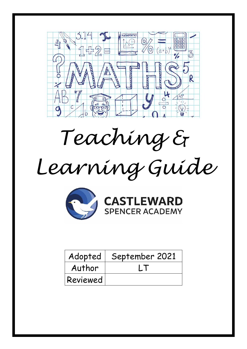

*Teaching &* 

# *Learning Guide*





| Adopted  | September 2021 |
|----------|----------------|
| Author   |                |
| Reviewed |                |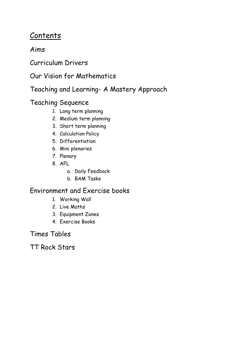# Contents

# Aims

Curriculum Drivers

Our Vision for Mathematics

Teaching and Learning- A Mastery Approach

# Teaching Sequence

- 1. Long term planning
- 2. Medium term planning
- 3. Short term planning
- 4. Calculation Policy
- 5. Differentiation
- 6. Mini plenaries
- 7. Plenary
- 8. AFL
	- a. Daily Feedback
	- b. BAM Tasks

# Environment and Exercise books

- 1. Working Wall
- 2. Live Maths
- 3. Equipment Zones
- 4. Exercise Books

Times Tables

TT Rock Stars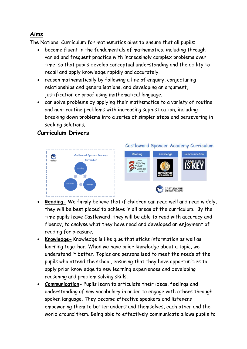## **Aims**

The National Curriculum for mathematics aims to ensure that all pupils:

- become fluent in the fundamentals of mathematics, including through varied and frequent practice with increasingly complex problems over time, so that pupils develop conceptual understanding and the ability to recall and apply knowledge rapidly and accurately.
- reason mathematically by following a line of enquiry, conjecturing relationships and generalisations, and developing an argument, justification or proof using mathematical language.
- can solve problems by applying their mathematics to a variety of routine and non- routine problems with increasing sophistication, including breaking down problems into a series of simpler steps and persevering in seeking solutions.

## **Curriculum Drivers**



#### Castleward Spencer Academy Curriculum



- **Reading-** We firmly believe that if children can read well and read widely, they will be best placed to achieve in all areas of the curriculum. By the time pupils leave Castleward, they will be able to read with accuracy and fluency, to analyse what they have read and developed an enjoyment of reading for pleasure.
- **Knowledge-** Knowledge is like glue that sticks information as well as learning together. When we have prior knowledge about a topic, we understand it better. Topics are personalised to meet the needs of the pupils who attend the school, ensuring that they have opportunities to apply prior knowledge to new learning experiences and developing reasoning and problem solving skills.
- **Communication-** Pupils learn to articulate their ideas, feelings and understanding of new vocabulary in order to engage with others through spoken language. They become effective speakers and listeners empowering them to better understand themselves, each other and the world around them. Being able to effectively communicate allows pupils to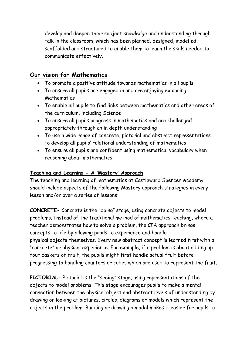develop and deepen their subject knowledge and understanding through talk in the classroom, which has been planned, designed, modelled, scaffolded and structured to enable them to learn the skills needed to communicate effectively.

## **Our vision for Mathematics**

- To promote a positive attitude towards mathematics in all pupils
- To ensure all pupils are engaged in and are enjoying exploring **Mathematics**
- To enable all pupils to find links between mathematics and other areas of the curriculum, including Science
- To ensure all pupils progress in mathematics and are challenged appropriately through an in depth understanding
- To use a wide range of concrete, pictorial and abstract representations to develop all pupils' relational understanding of mathematics
- To ensure all pupils are confident using mathematical vocabulary when reasoning about mathematics

#### **Teaching and Learning - A 'Mastery' Approach**

The teaching and learning of mathematics at Castleward Spencer Academy should include aspects of the following Mastery approach strategies in every lesson and/or over a series of lessons:

**CONCRETE-** Concrete is the "doing" stage, using concrete objects to model problems. Instead of the traditional method of mathematics teaching, where a teacher demonstrates how to solve a problem, the CPA approach brings concepts to life by allowing pupils to experience and handle physical objects themselves. Every new abstract concept is learned first with a "concrete" or physical experience. For example, if a problem is about adding up four baskets of fruit, the pupils might first handle actual fruit before progressing to handling counters or cubes which are used to represent the fruit.

**PICTORIAL-** Pictorial is the "seeing" stage, using representations of the objects to model problems. This stage encourages pupils to make a mental connection between the physical object and abstract levels of understanding by drawing or looking at pictures, circles, diagrams or models which represent the objects in the problem. Building or drawing a model makes it easier for pupils to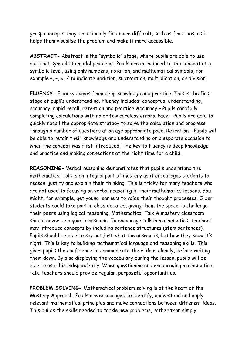grasp concepts they traditionally find more difficult, such as fractions, as it helps them visualise the problem and make it more accessible.

**ABSTRACT-** Abstract is the "symbolic" stage, where pupils are able to use abstract symbols to model problems. Pupils are introduced to the concept at a symbolic level, using only numbers, notation, and mathematical symbols, for example +, –, x, / to indicate addition, subtraction, multiplication, or division.

**FLUENCY-** Fluency comes from deep knowledge and practice. This is the first stage of pupil's understanding. Fluency includes: conceptual understanding, accuracy, rapid recall, retention and practice Accuracy – Pupils carefully completing calculations with no or few careless errors. Pace – Pupils are able to quickly recall the appropriate strategy to solve the calculation and progress through a number of questions at an age appropriate pace. Retention – Pupils will be able to retain their knowledge and understanding on a separate occasion to when the concept was first introduced. The key to fluency is deep knowledge and practice and making connections at the right time for a child.

**REASONING-** Verbal reasoning demonstrates that pupils understand the mathematics. Talk is an integral part of mastery as it encourages students to reason, justify and explain their thinking. This is tricky for many teachers who are not used to focusing on verbal reasoning in their mathematics lessons. You might, for example, get young learners to voice their thought processes. Older students could take part in class debates, giving them the space to challenge their peers using logical reasoning. Mathematical Talk A mastery classroom should never be a quiet classroom. To encourage talk in mathematics, teachers may introduce concepts by including sentence structures (stem sentences). Pupils should be able to say not just what the answer is, but how they know it's right. This is key to building mathematical language and reasoning skills. This gives pupils the confidence to communicate their ideas clearly, before writing them down. By also displaying the vocabulary during the lesson, pupils will be able to use this independently. When questioning and encouraging mathematical talk, teachers should provide regular, purposeful opportunities.

**PROBLEM SOLVING-** Mathematical problem solving is at the heart of the Mastery Approach. Pupils are encouraged to identify, understand and apply relevant mathematical principles and make connections between different ideas. This builds the skills needed to tackle new problems, rather than simply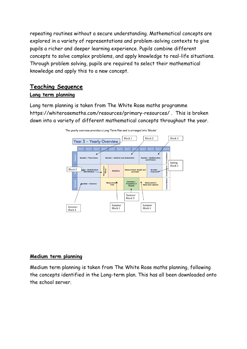repeating routines without a secure understanding. Mathematical concepts are explored in a variety of representations and problem-solving contexts to give pupils a richer and deeper learning experience. Pupils combine different concepts to solve complex problems, and apply knowledge to real-life situations. Through problem solving, pupils are required to select their mathematical knowledge and apply this to a new concept.

## **Teaching Sequence Long term planning**

Long term planning is taken from The White Rose maths programme https://whiterosemaths.com/resources/primary-resources/ . This is broken down into a variety of different mathematical concepts throughout the year.



#### The yearly overview provides a Long Term Plan and is arranged into 'Blocks'

#### **Medium term planning**

Medium term planning is taken from The White Rose maths planning, following the concepts identified in the Long-term plan. This has all been downloaded onto the school server.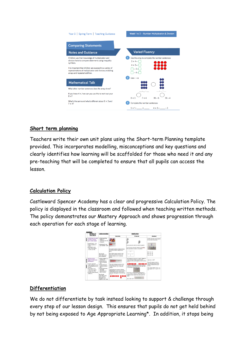

#### **Short term planning**

Teachers write their own unit plans using the Short-term Planning template provided. This incorporates modelling, misconceptions and key questions and clearly identifies how learning will be scaffolded for those who need it and any pre-teaching that will be completed to ensure that all pupils can access the lesson.

#### **Calculation Policy**

Castleward Spencer Academy has a clear and progressive Calculation Policy. The policy is displayed in the classroom and followed when teaching written methods. The policy demonstrates our Mastery Approach and shows progression through each operation for each stage of learning.



#### **Differentiation**

We do not differentiate by task instead looking to support & challenge through every step of our lesson design. This ensures that pupils do not get held behind by not being exposed to Age Appropriate Learning\*. In addition, it stops being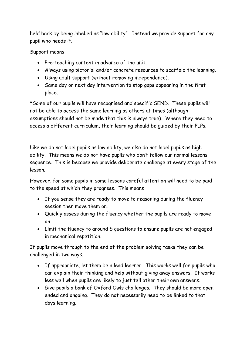held back by being labelled as "low ability". Instead we provide support for any pupil who needs it.

Support means:

- Pre-teaching content in advance of the unit.
- Always using pictorial and/or concrete resources to scaffold the learning.
- Using adult support (without removing independence).
- Same day or next day intervention to stop gaps appearing in the first place.

\*Some of our pupils will have recognised and specific SEND. These pupils will not be able to access the same learning as others at times (although assumptions should not be made that this is always true). Where they need to access a different curriculum, their learning should be guided by their PLPs.

Like we do not label pupils as low ability, we also do not label pupils as high ability. This means we do not have pupils who don't follow our normal lessons sequence. This is because we provide deliberate challenge at every stage of the lesson.

However, for some pupils in some lessons careful attention will need to be paid to the speed at which they progress. This means

- If you sense they are ready to move to reasoning during the fluency session then move them on.
- Quickly assess during the fluency whether the pupils are ready to move on.
- Limit the fluency to around 5 questions to ensure pupils are not engaged in mechanical repetition.

If pupils move through to the end of the problem solving tasks they can be challenged in two ways.

- If appropriate, let them be a lead learner. This works well for pupils who can explain their thinking and help without giving away answers. It works less well when pupils are likely to just tell other their own answers.
- Give pupils a bank of Oxford Owls challenges. They should be more open ended and ongoing. They do not necessarily need to be linked to that days learning.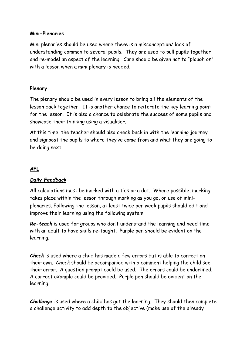#### **Mini-Plenaries**

Mini plenaries should be used where there is a misconception/ lack of understanding common to several pupils. They are used to pull pupils together and re-model an aspect of the learning. Care should be given not to "plough on" with a lesson when a mini plenary is needed.

#### **Plenary**

The plenary should be used in every lesson to bring all the elements of the lesson back together. It is another chance to reiterate the key learning point for the lesson. It is also a chance to celebrate the success of some pupils and showcase their thinking using a visualiser.

At this time, the teacher should also check back in with the learning journey and signpost the pupils to where they've come from and what they are going to be doing next.

## **AFL**

#### *Daily Feedback*

All calculations must be marked with a tick or a dot. Where possible, marking takes place within the lesson through marking as you go, or use of miniplenaries. Following the lesson, at least twice per week pupils should edit and improve their learning using the following system.

*Re-teach* is used for groups who don't understand the learning and need time with an adult to have skills re-taught. Purple pen should be evident on the learning.

*Check* is used where a child has made a few errors but is able to correct on their own. *Check* should be accompanied with a comment helping the child see their error. A question prompt could be used. The errors could be underlined. A correct example could be provided. Purple pen should be evident on the learning.

*Challenge* is used where a child has got the learning. They should then complete a challenge activity to add depth to the objective (make use of the already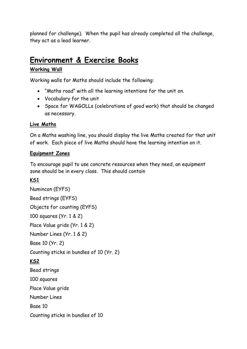planned for challenge). When the pupil has already completed all the challenge, they act as a lead learner.

# **Environment & Exercise Books**

#### **Working Wall**

Working walls for Maths should include the following:

- "Maths road" with all the learning intentions for the unit on.
- Vocabulary for the unit
- Space for WAGOLLs (celebrations of good work) that should be changed as necessary.

#### **Live Maths**

On a Maths washing line, you should display the live Maths created for that unit of work. Each piece of live Maths should have the learning intention on it.

#### **Equipment Zones**

To encourage pupil to use concrete resources when they need, an equipment zone should be in every class. This should contain

## **KS1**

Numincon (EYFS) Bead strings (EYFS) Objects for counting (EYFS) 100 squares (Yr. 1 & 2) Place Value grids (Yr. 1 & 2) Number Lines (Yr. 1 & 2) Base 10 (Yr. 2) Counting sticks in bundles of 10 (Yr. 2) **KS2** Bead strings 100 squares Place Value grids Number Lines Base 10 Counting sticks in bundles of 10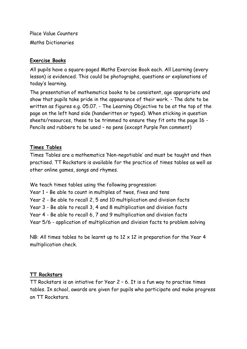Place Value Counters Maths Dictionaries

#### **Exercise Books**

All pupils have a square-paged Maths Exercise Book each. All Learning (every lesson) is evidenced. This could be photographs, questions or explanations of today's learning.

The presentation of mathematics books to be consistent, age appropriate and show that pupils take pride in the appearance of their work. - The date to be written as figures e.g. 05.07. - The Learning Objective to be at the top of the page on the left hand side (handwritten or typed). When sticking in question sheets/resources, these to be trimmed to ensure they fit onto the page 16 - Pencils and rubbers to be used – no pens (except Purple Pen comment)

#### **Times Tables**

Times Tables are a mathematics 'Non-negotiable' and must be taught and then practised. TT Rockstars is available for the practice of times tables as well as other online games, songs and rhymes.

We teach times tables using the following progression:

Year 1 – Be able to count in multiples of twos, fives and tens Year 2 - Be able to recall 2, 5 and 10 multiplication and division facts Year 3 - Be able to recall 3, 4 and 8 multiplication and division facts Year 4 - Be able to recall 6, 7 and 9 multiplication and division facts Year 5/6 - application of multiplication and division facts to problem solving

NB: All times tables to be learnt up to  $12 \times 12$  in preparation for the Year 4 multiplication check.

#### **TT Rockstars**

TT Rockstars is an intiative for Year 2 – 6. It is a fun way to practise times tables. In school, awards are given for pupils who participate and make progress on TT Rockstars.